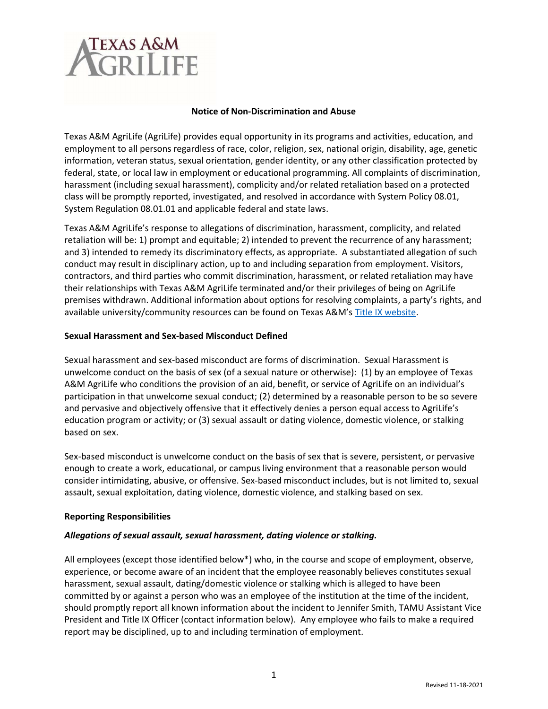# TEXAS A&M<br>**VGR I LIFF**

# Notice of Non-Discrimination and Abuse

Texas A&M AgriLife (AgriLife) provides equal opportunity in its programs and activities, education, and employment to all persons regardless of race, color, religion, sex, national origin, disability, age, genetic information, veteran status, sexual orientation, gender identity, or any other classification protected by federal, state, or local law in employment or educational programming. All complaints of discrimination, harassment (including sexual harassment), complicity and/or related retaliation based on a protected class will be promptly reported, investigated, and resolved in accordance with System Policy 08.01, System Regulation 08.01.01 and applicable federal and state laws.

Texas A&M AgriLife's response to allegations of discrimination, harassment, complicity, and related retaliation will be: 1) prompt and equitable; 2) intended to prevent the recurrence of any harassment; and 3) intended to remedy its discriminatory effects, as appropriate. A substantiated allegation of such conduct may result in disciplinary action, up to and including separation from employment. Visitors, contractors, and third parties who commit discrimination, harassment, or related retaliation may have their relationships with Texas A&M AgriLife terminated and/or their privileges of being on AgriLife premises withdrawn. Additional information about options for resolving complaints, a party's rights, and available university/community resources can be found on Texas A&M's Title IX website.

### Sexual Harassment and Sex-based Misconduct Defined

Sexual harassment and sex-based misconduct are forms of discrimination. Sexual Harassment is unwelcome conduct on the basis of sex (of a sexual nature or otherwise): (1) by an employee of Texas A&M AgriLife who conditions the provision of an aid, benefit, or service of AgriLife on an individual's participation in that unwelcome sexual conduct; (2) determined by a reasonable person to be so severe and pervasive and objectively offensive that it effectively denies a person equal access to AgriLife's education program or activity; or (3) sexual assault or dating violence, domestic violence, or stalking based on sex.

Sex-based misconduct is unwelcome conduct on the basis of sex that is severe, persistent, or pervasive enough to create a work, educational, or campus living environment that a reasonable person would consider intimidating, abusive, or offensive. Sex-based misconduct includes, but is not limited to, sexual assault, sexual exploitation, dating violence, domestic violence, and stalking based on sex.

# Reporting Responsibilities

# Allegations of sexual assault, sexual harassment, dating violence or stalking.

All employees (except those identified below\*) who, in the course and scope of employment, observe, experience, or become aware of an incident that the employee reasonably believes constitutes sexual harassment, sexual assault, dating/domestic violence or stalking which is alleged to have been committed by or against a person who was an employee of the institution at the time of the incident, should promptly report all known information about the incident to Jennifer Smith, TAMU Assistant Vice President and Title IX Officer (contact information below). Any employee who fails to make a required report may be disciplined, up to and including termination of employment.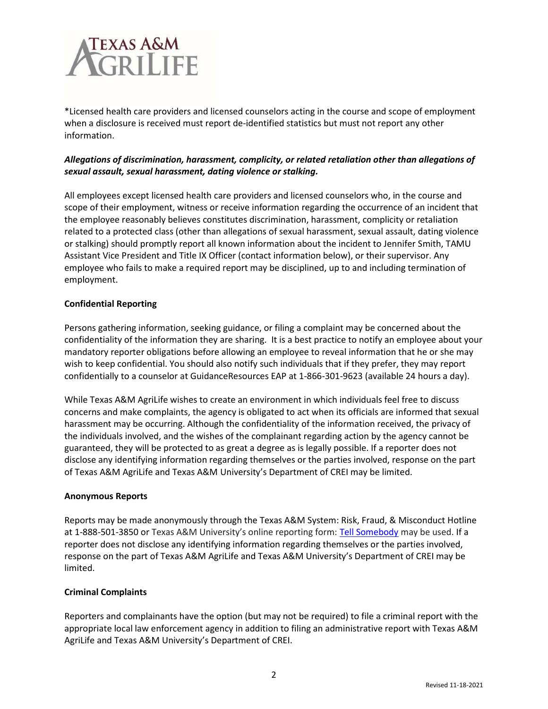

\*Licensed health care providers and licensed counselors acting in the course and scope of employment when a disclosure is received must report de-identified statistics but must not report any other information.

# Allegations of discrimination, harassment, complicity, or related retaliation other than allegations of sexual assault, sexual harassment, dating violence or stalking.

All employees except licensed health care providers and licensed counselors who, in the course and scope of their employment, witness or receive information regarding the occurrence of an incident that the employee reasonably believes constitutes discrimination, harassment, complicity or retaliation related to a protected class (other than allegations of sexual harassment, sexual assault, dating violence or stalking) should promptly report all known information about the incident to Jennifer Smith, TAMU Assistant Vice President and Title IX Officer (contact information below), or their supervisor. Any employee who fails to make a required report may be disciplined, up to and including termination of employment.

# Confidential Reporting

Persons gathering information, seeking guidance, or filing a complaint may be concerned about the confidentiality of the information they are sharing. It is a best practice to notify an employee about your mandatory reporter obligations before allowing an employee to reveal information that he or she may wish to keep confidential. You should also notify such individuals that if they prefer, they may report confidentially to a counselor at GuidanceResources EAP at 1-866-301-9623 (available 24 hours a day).

While Texas A&M AgriLife wishes to create an environment in which individuals feel free to discuss concerns and make complaints, the agency is obligated to act when its officials are informed that sexual harassment may be occurring. Although the confidentiality of the information received, the privacy of the individuals involved, and the wishes of the complainant regarding action by the agency cannot be guaranteed, they will be protected to as great a degree as is legally possible. If a reporter does not disclose any identifying information regarding themselves or the parties involved, response on the part of Texas A&M AgriLife and Texas A&M University's Department of CREI may be limited.

# Anonymous Reports

Reports may be made anonymously through the Texas A&M System: Risk, Fraud, & Misconduct Hotline at 1-888-501-3850 or Texas A&M University's online reporting form: Tell Somebody may be used. If a reporter does not disclose any identifying information regarding themselves or the parties involved, response on the part of Texas A&M AgriLife and Texas A&M University's Department of CREI may be limited.

# Criminal Complaints

Reporters and complainants have the option (but may not be required) to file a criminal report with the appropriate local law enforcement agency in addition to filing an administrative report with Texas A&M AgriLife and Texas A&M University's Department of CREI.